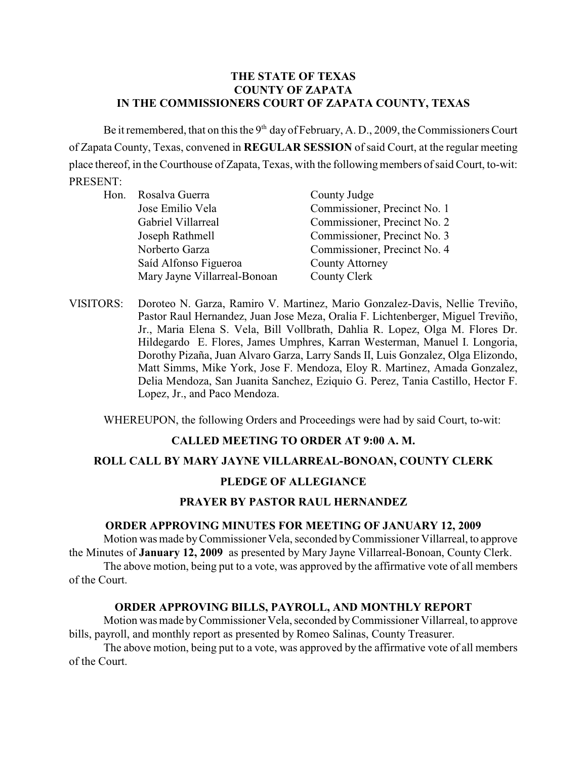# **THE STATE OF TEXAS COUNTY OF ZAPATA IN THE COMMISSIONERS COURT OF ZAPATA COUNTY, TEXAS**

Be it remembered, that on this the  $9<sup>th</sup>$  day of February, A. D., 2009, the Commissioners Court of Zapata County, Texas, convened in **REGULAR SESSION** of said Court, at the regular meeting place thereof, in the Courthouse of Zapata, Texas, with the following members of said Court, to-wit: PRESENT:

|  | Hon. Rosalva Guerra          | County Judge                 |
|--|------------------------------|------------------------------|
|  | Jose Emilio Vela             | Commissioner, Precinct No. 1 |
|  | Gabriel Villarreal           | Commissioner, Precinct No. 2 |
|  | Joseph Rathmell              | Commissioner, Precinct No. 3 |
|  | Norberto Garza               | Commissioner, Precinct No. 4 |
|  | Saíd Alfonso Figueroa        | <b>County Attorney</b>       |
|  | Mary Jayne Villarreal-Bonoan | County Clerk                 |
|  |                              |                              |

VISITORS: Doroteo N. Garza, Ramiro V. Martinez, Mario Gonzalez-Davis, Nellie Treviño, Pastor Raul Hernandez, Juan Jose Meza, Oralia F. Lichtenberger, Miguel Treviño, Jr., Maria Elena S. Vela, Bill Vollbrath, Dahlia R. Lopez, Olga M. Flores Dr. Hildegardo E. Flores, James Umphres, Karran Westerman, Manuel I. Longoria, Dorothy Pizaña, Juan Alvaro Garza, Larry Sands II, Luis Gonzalez, Olga Elizondo, Matt Simms, Mike York, Jose F. Mendoza, Eloy R. Martinez, Amada Gonzalez, Delia Mendoza, San Juanita Sanchez, Eziquio G. Perez, Tania Castillo, Hector F. Lopez, Jr., and Paco Mendoza.

WHEREUPON, the following Orders and Proceedings were had by said Court, to-wit:

### **CALLED MEETING TO ORDER AT 9:00 A. M.**

### **ROLL CALL BY MARY JAYNE VILLARREAL-BONOAN, COUNTY CLERK**

### **PLEDGE OF ALLEGIANCE**

# **PRAYER BY PASTOR RAUL HERNANDEZ**

#### **ORDER APPROVING MINUTES FOR MEETING OF JANUARY 12, 2009**

Motion was made byCommissioner Vela, seconded by Commissioner Villarreal, to approve the Minutes of **January 12, 2009** as presented by Mary Jayne Villarreal-Bonoan, County Clerk.

The above motion, being put to a vote, was approved by the affirmative vote of all members of the Court.

### **ORDER APPROVING BILLS, PAYROLL, AND MONTHLY REPORT**

Motion was made byCommissioner Vela, seconded by Commissioner Villarreal, to approve bills, payroll, and monthly report as presented by Romeo Salinas, County Treasurer.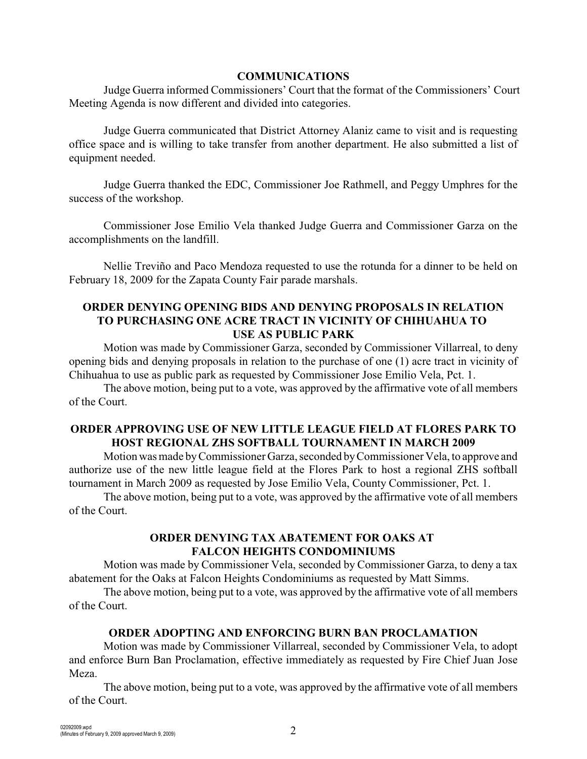#### **COMMUNICATIONS**

Judge Guerra informed Commissioners' Court that the format of the Commissioners' Court Meeting Agenda is now different and divided into categories.

Judge Guerra communicated that District Attorney Alaniz came to visit and is requesting office space and is willing to take transfer from another department. He also submitted a list of equipment needed.

Judge Guerra thanked the EDC, Commissioner Joe Rathmell, and Peggy Umphres for the success of the workshop.

Commissioner Jose Emilio Vela thanked Judge Guerra and Commissioner Garza on the accomplishments on the landfill.

Nellie Treviño and Paco Mendoza requested to use the rotunda for a dinner to be held on February 18, 2009 for the Zapata County Fair parade marshals.

### **ORDER DENYING OPENING BIDS AND DENYING PROPOSALS IN RELATION TO PURCHASING ONE ACRE TRACT IN VICINITY OF CHIHUAHUA TO USE AS PUBLIC PARK**

Motion was made by Commissioner Garza, seconded by Commissioner Villarreal, to deny opening bids and denying proposals in relation to the purchase of one (1) acre tract in vicinity of Chihuahua to use as public park as requested by Commissioner Jose Emilio Vela, Pct. 1.

The above motion, being put to a vote, was approved by the affirmative vote of all members of the Court.

# **ORDER APPROVING USE OF NEW LITTLE LEAGUE FIELD AT FLORES PARK TO HOST REGIONAL ZHS SOFTBALL TOURNAMENT IN MARCH 2009**

Motion was made byCommissioner Garza, seconded by Commissioner Vela, to approve and authorize use of the new little league field at the Flores Park to host a regional ZHS softball tournament in March 2009 as requested by Jose Emilio Vela, County Commissioner, Pct. 1.

The above motion, being put to a vote, was approved by the affirmative vote of all members of the Court.

### **ORDER DENYING TAX ABATEMENT FOR OAKS AT FALCON HEIGHTS CONDOMINIUMS**

Motion was made by Commissioner Vela, seconded by Commissioner Garza, to deny a tax abatement for the Oaks at Falcon Heights Condominiums as requested by Matt Simms.

The above motion, being put to a vote, was approved by the affirmative vote of all members of the Court.

# **ORDER ADOPTING AND ENFORCING BURN BAN PROCLAMATION**

Motion was made by Commissioner Villarreal, seconded by Commissioner Vela, to adopt and enforce Burn Ban Proclamation, effective immediately as requested by Fire Chief Juan Jose Meza.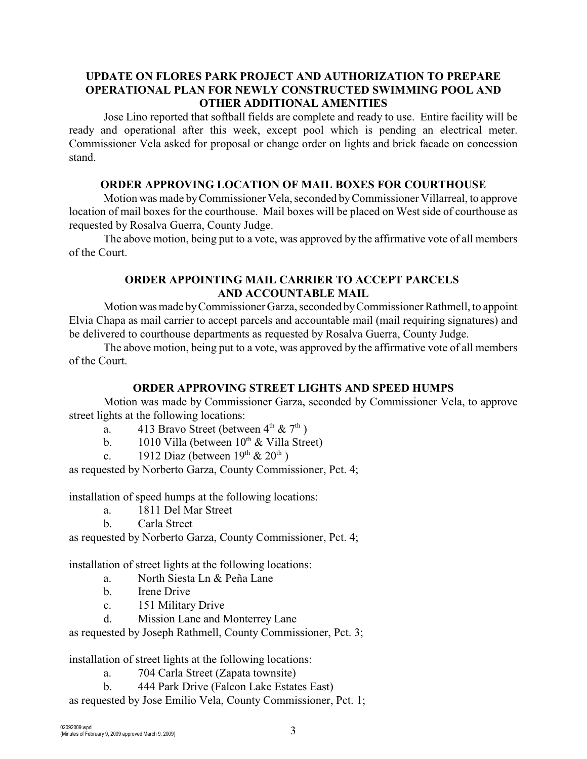# **UPDATE ON FLORES PARK PROJECT AND AUTHORIZATION TO PREPARE OPERATIONAL PLAN FOR NEWLY CONSTRUCTED SWIMMING POOL AND OTHER ADDITIONAL AMENITIES**

Jose Lino reported that softball fields are complete and ready to use. Entire facility will be ready and operational after this week, except pool which is pending an electrical meter. Commissioner Vela asked for proposal or change order on lights and brick facade on concession stand.

## **ORDER APPROVING LOCATION OF MAIL BOXES FOR COURTHOUSE**

Motion was made byCommissioner Vela, seconded by Commissioner Villarreal, to approve location of mail boxes for the courthouse. Mail boxes will be placed on West side of courthouse as requested by Rosalva Guerra, County Judge.

The above motion, being put to a vote, was approved by the affirmative vote of all members of the Court.

# **ORDER APPOINTING MAIL CARRIER TO ACCEPT PARCELS AND ACCOUNTABLE MAIL**

Motion was made byCommissioner Garza, seconded byCommissioner Rathmell, to appoint Elvia Chapa as mail carrier to accept parcels and accountable mail (mail requiring signatures) and be delivered to courthouse departments as requested by Rosalva Guerra, County Judge.

The above motion, being put to a vote, was approved by the affirmative vote of all members of the Court.

### **ORDER APPROVING STREET LIGHTS AND SPEED HUMPS**

Motion was made by Commissioner Garza, seconded by Commissioner Vela, to approve street lights at the following locations:

- a. 413 Bravo Street (between  $4^{\text{th}} \& 7^{\text{th}}$ )
- b. 1010 Villa (between  $10^{th}$  & Villa Street)
- c. 1912 Diaz (between  $19<sup>th</sup> \& 20<sup>th</sup>$ )

as requested by Norberto Garza, County Commissioner, Pct. 4;

installation of speed humps at the following locations:

- a. 1811 Del Mar Street
- b. Carla Street

as requested by Norberto Garza, County Commissioner, Pct. 4;

installation of street lights at the following locations:

- a. North Siesta Ln & Peña Lane
- b. Irene Drive
- c. 151 Military Drive
- d. Mission Lane and Monterrey Lane

as requested by Joseph Rathmell, County Commissioner, Pct. 3;

installation of street lights at the following locations:

- a. 704 Carla Street (Zapata townsite)
- b. 444 Park Drive (Falcon Lake Estates East)
- as requested by Jose Emilio Vela, County Commissioner, Pct. 1;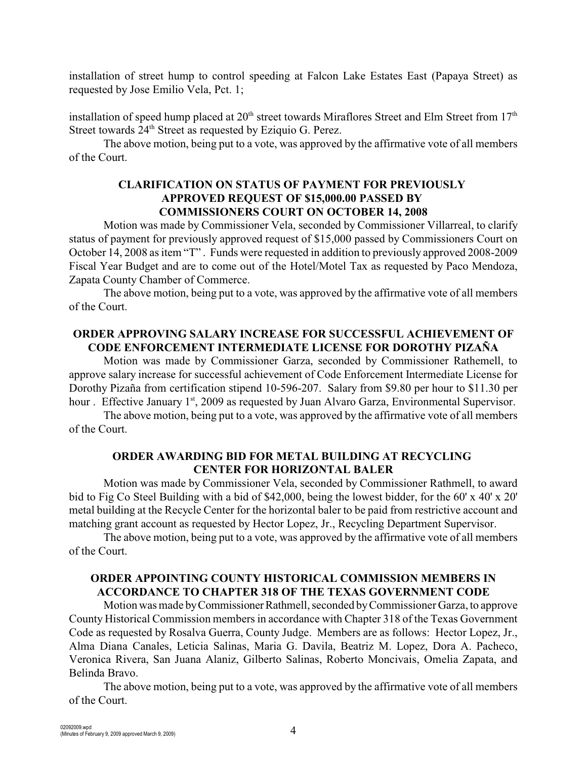installation of street hump to control speeding at Falcon Lake Estates East (Papaya Street) as requested by Jose Emilio Vela, Pct. 1;

installation of speed hump placed at  $20<sup>th</sup>$  street towards Miraflores Street and Elm Street from  $17<sup>th</sup>$ Street towards  $24<sup>th</sup>$  Street as requested by Eziquio G. Perez.

The above motion, being put to a vote, was approved by the affirmative vote of all members of the Court.

# **CLARIFICATION ON STATUS OF PAYMENT FOR PREVIOUSLY APPROVED REQUEST OF \$15,000.00 PASSED BY COMMISSIONERS COURT ON OCTOBER 14, 2008**

Motion was made by Commissioner Vela, seconded by Commissioner Villarreal, to clarify status of payment for previously approved request of \$15,000 passed by Commissioners Court on October 14, 2008 as item "T" . Funds were requested in addition to previously approved 2008-2009 Fiscal Year Budget and are to come out of the Hotel/Motel Tax as requested by Paco Mendoza, Zapata County Chamber of Commerce.

The above motion, being put to a vote, was approved by the affirmative vote of all members of the Court.

# **ORDER APPROVING SALARY INCREASE FOR SUCCESSFUL ACHIEVEMENT OF CODE ENFORCEMENT INTERMEDIATE LICENSE FOR DOROTHY PIZAÑA**

Motion was made by Commissioner Garza, seconded by Commissioner Rathemell, to approve salary increase for successful achievement of Code Enforcement Intermediate License for Dorothy Pizaña from certification stipend 10-596-207. Salary from \$9.80 per hour to \$11.30 per hour . Effective January 1<sup>st</sup>, 2009 as requested by Juan Alvaro Garza, Environmental Supervisor.

The above motion, being put to a vote, was approved by the affirmative vote of all members of the Court.

### **ORDER AWARDING BID FOR METAL BUILDING AT RECYCLING CENTER FOR HORIZONTAL BALER**

Motion was made by Commissioner Vela, seconded by Commissioner Rathmell, to award bid to Fig Co Steel Building with a bid of \$42,000, being the lowest bidder, for the 60' x 40' x 20' metal building at the Recycle Center for the horizontal baler to be paid from restrictive account and matching grant account as requested by Hector Lopez, Jr., Recycling Department Supervisor.

The above motion, being put to a vote, was approved by the affirmative vote of all members of the Court.

# **ORDER APPOINTING COUNTY HISTORICAL COMMISSION MEMBERS IN ACCORDANCE TO CHAPTER 318 OF THE TEXAS GOVERNMENT CODE**

Motion was made by Commissioner Rathmell, seconded by Commissioner Garza, to approve County Historical Commission members in accordance with Chapter 318 of the Texas Government Code as requested by Rosalva Guerra, County Judge. Members are as follows: Hector Lopez, Jr., Alma Diana Canales, Leticia Salinas, Maria G. Davila, Beatriz M. Lopez, Dora A. Pacheco, Veronica Rivera, San Juana Alaniz, Gilberto Salinas, Roberto Moncivais, Omelia Zapata, and Belinda Bravo.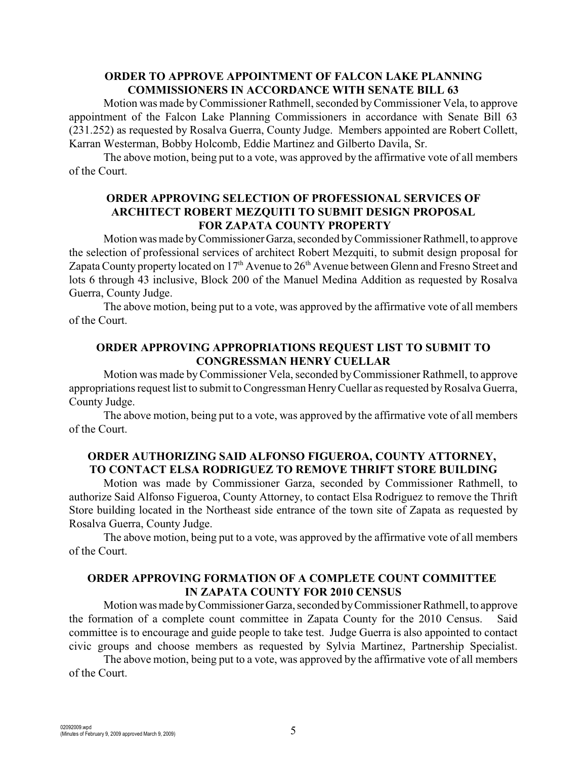### **ORDER TO APPROVE APPOINTMENT OF FALCON LAKE PLANNING COMMISSIONERS IN ACCORDANCE WITH SENATE BILL 63**

Motion was made by Commissioner Rathmell, seconded by Commissioner Vela, to approve appointment of the Falcon Lake Planning Commissioners in accordance with Senate Bill 63 (231.252) as requested by Rosalva Guerra, County Judge. Members appointed are Robert Collett, Karran Westerman, Bobby Holcomb, Eddie Martinez and Gilberto Davila, Sr.

The above motion, being put to a vote, was approved by the affirmative vote of all members of the Court.

### **ORDER APPROVING SELECTION OF PROFESSIONAL SERVICES OF ARCHITECT ROBERT MEZQUITI TO SUBMIT DESIGN PROPOSAL FOR ZAPATA COUNTY PROPERTY**

Motion was made by Commissioner Garza, seconded by Commissioner Rathmell, to approve the selection of professional services of architect Robert Mezquiti, to submit design proposal for Zapata County property located on  $17<sup>th</sup>$  Avenue to  $26<sup>th</sup>$  Avenue between Glenn and Fresno Street and lots 6 through 43 inclusive, Block 200 of the Manuel Medina Addition as requested by Rosalva Guerra, County Judge.

The above motion, being put to a vote, was approved by the affirmative vote of all members of the Court.

# **ORDER APPROVING APPROPRIATIONS REQUEST LIST TO SUBMIT TO CONGRESSMAN HENRY CUELLAR**

Motion was made by Commissioner Vela, seconded byCommissioner Rathmell, to approve appropriations request list to submit to Congressman HenryCuellar as requested by Rosalva Guerra, County Judge.

The above motion, being put to a vote, was approved by the affirmative vote of all members of the Court.

# **ORDER AUTHORIZING SAID ALFONSO FIGUEROA, COUNTY ATTORNEY, TO CONTACT ELSA RODRIGUEZ TO REMOVE THRIFT STORE BUILDING**

Motion was made by Commissioner Garza, seconded by Commissioner Rathmell, to authorize Said Alfonso Figueroa, County Attorney, to contact Elsa Rodriguez to remove the Thrift Store building located in the Northeast side entrance of the town site of Zapata as requested by Rosalva Guerra, County Judge.

The above motion, being put to a vote, was approved by the affirmative vote of all members of the Court.

### **ORDER APPROVING FORMATION OF A COMPLETE COUNT COMMITTEE IN ZAPATA COUNTY FOR 2010 CENSUS**

Motion was made by Commissioner Garza, seconded by Commissioner Rathmell, to approve the formation of a complete count committee in Zapata County for the 2010 Census. Said committee is to encourage and guide people to take test. Judge Guerra is also appointed to contact civic groups and choose members as requested by Sylvia Martinez, Partnership Specialist.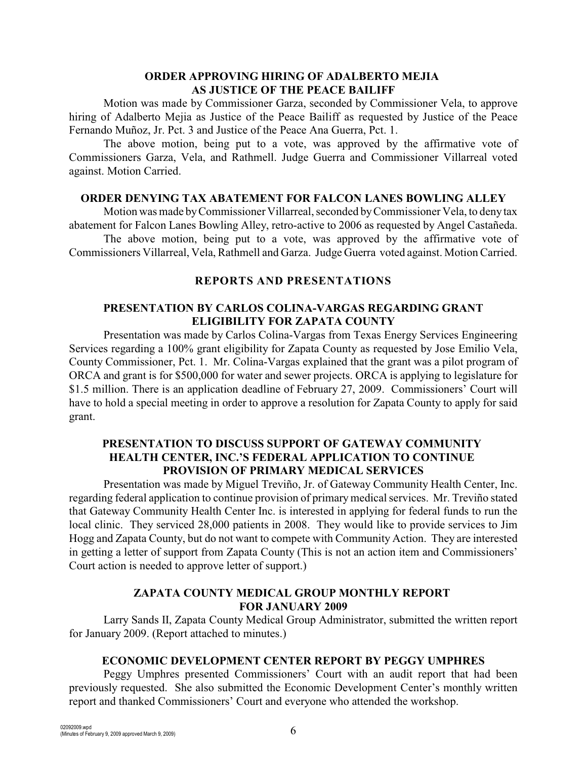### **ORDER APPROVING HIRING OF ADALBERTO MEJIA AS JUSTICE OF THE PEACE BAILIFF**

Motion was made by Commissioner Garza, seconded by Commissioner Vela, to approve hiring of Adalberto Mejia as Justice of the Peace Bailiff as requested by Justice of the Peace Fernando Muñoz, Jr. Pct. 3 and Justice of the Peace Ana Guerra, Pct. 1.

The above motion, being put to a vote, was approved by the affirmative vote of Commissioners Garza, Vela, and Rathmell. Judge Guerra and Commissioner Villarreal voted against. Motion Carried.

### **ORDER DENYING TAX ABATEMENT FOR FALCON LANES BOWLING ALLEY**

Motion was made byCommissioner Villarreal, seconded by Commissioner Vela, to deny tax abatement for Falcon Lanes Bowling Alley, retro-active to 2006 as requested by Angel Castañeda.

The above motion, being put to a vote, was approved by the affirmative vote of Commissioners Villarreal, Vela, Rathmell and Garza. Judge Guerra voted against. Motion Carried.

### **REPORTS AND PRESENTATIONS**

### **PRESENTATION BY CARLOS COLINA-VARGAS REGARDING GRANT ELIGIBILITY FOR ZAPATA COUNTY**

Presentation was made by Carlos Colina-Vargas from Texas Energy Services Engineering Services regarding a 100% grant eligibility for Zapata County as requested by Jose Emilio Vela, County Commissioner, Pct. 1. Mr. Colina-Vargas explained that the grant was a pilot program of ORCA and grant is for \$500,000 for water and sewer projects. ORCA is applying to legislature for \$1.5 million. There is an application deadline of February 27, 2009. Commissioners' Court will have to hold a special meeting in order to approve a resolution for Zapata County to apply for said grant.

### **PRESENTATION TO DISCUSS SUPPORT OF GATEWAY COMMUNITY HEALTH CENTER, INC.'S FEDERAL APPLICATION TO CONTINUE PROVISION OF PRIMARY MEDICAL SERVICES**

Presentation was made by Miguel Treviño, Jr. of Gateway Community Health Center, Inc. regarding federal application to continue provision of primary medical services. Mr. Treviño stated that Gateway Community Health Center Inc. is interested in applying for federal funds to run the local clinic. They serviced 28,000 patients in 2008. They would like to provide services to Jim Hogg and Zapata County, but do not want to compete with Community Action. They are interested in getting a letter of support from Zapata County (This is not an action item and Commissioners' Court action is needed to approve letter of support.)

### **ZAPATA COUNTY MEDICAL GROUP MONTHLY REPORT FOR JANUARY 2009**

Larry Sands II, Zapata County Medical Group Administrator, submitted the written report for January 2009. (Report attached to minutes.)

# **ECONOMIC DEVELOPMENT CENTER REPORT BY PEGGY UMPHRES**

Peggy Umphres presented Commissioners' Court with an audit report that had been previously requested. She also submitted the Economic Development Center's monthly written report and thanked Commissioners' Court and everyone who attended the workshop.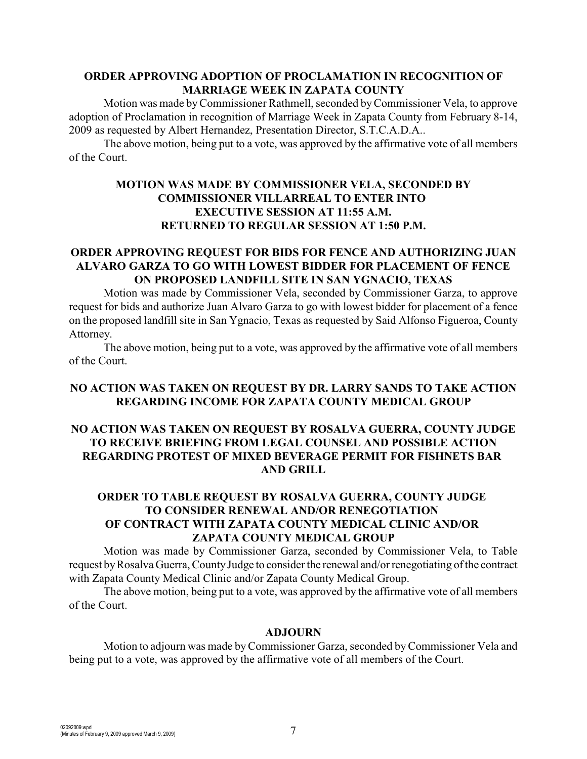### **ORDER APPROVING ADOPTION OF PROCLAMATION IN RECOGNITION OF MARRIAGE WEEK IN ZAPATA COUNTY**

Motion was made by Commissioner Rathmell, seconded by Commissioner Vela, to approve adoption of Proclamation in recognition of Marriage Week in Zapata County from February 8-14, 2009 as requested by Albert Hernandez, Presentation Director, S.T.C.A.D.A..

The above motion, being put to a vote, was approved by the affirmative vote of all members of the Court.

# **MOTION WAS MADE BY COMMISSIONER VELA, SECONDED BY COMMISSIONER VILLARREAL TO ENTER INTO EXECUTIVE SESSION AT 11:55 A.M. RETURNED TO REGULAR SESSION AT 1:50 P.M.**

# **ORDER APPROVING REQUEST FOR BIDS FOR FENCE AND AUTHORIZING JUAN ALVARO GARZA TO GO WITH LOWEST BIDDER FOR PLACEMENT OF FENCE ON PROPOSED LANDFILL SITE IN SAN YGNACIO, TEXAS**

Motion was made by Commissioner Vela, seconded by Commissioner Garza, to approve request for bids and authorize Juan Alvaro Garza to go with lowest bidder for placement of a fence on the proposed landfill site in San Ygnacio, Texas as requested by Said Alfonso Figueroa, County Attorney.

The above motion, being put to a vote, was approved by the affirmative vote of all members of the Court.

### **NO ACTION WAS TAKEN ON REQUEST BY DR. LARRY SANDS TO TAKE ACTION REGARDING INCOME FOR ZAPATA COUNTY MEDICAL GROUP**

# **NO ACTION WAS TAKEN ON REQUEST BY ROSALVA GUERRA, COUNTY JUDGE TO RECEIVE BRIEFING FROM LEGAL COUNSEL AND POSSIBLE ACTION REGARDING PROTEST OF MIXED BEVERAGE PERMIT FOR FISHNETS BAR AND GRILL**

# **ORDER TO TABLE REQUEST BY ROSALVA GUERRA, COUNTY JUDGE TO CONSIDER RENEWAL AND/OR RENEGOTIATION OF CONTRACT WITH ZAPATA COUNTY MEDICAL CLINIC AND/OR ZAPATA COUNTY MEDICAL GROUP**

Motion was made by Commissioner Garza, seconded by Commissioner Vela, to Table request by Rosalva Guerra, County Judge to consider the renewal and/or renegotiating of the contract with Zapata County Medical Clinic and/or Zapata County Medical Group.

The above motion, being put to a vote, was approved by the affirmative vote of all members of the Court.

#### **ADJOURN**

Motion to adjourn was made byCommissioner Garza, seconded byCommissioner Vela and being put to a vote, was approved by the affirmative vote of all members of the Court.